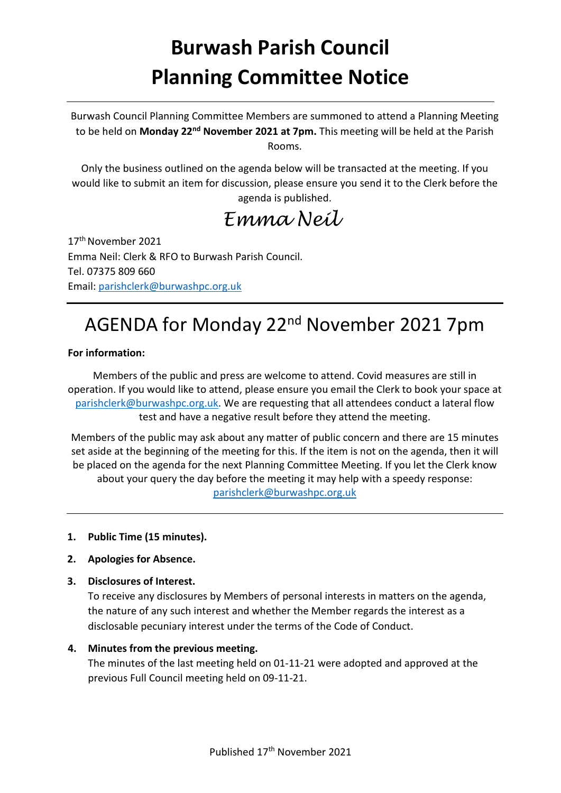# **Burwash Parish Council Planning Committee Notice**

Burwash Council Planning Committee Members are summoned to attend a Planning Meeting to be held on **Monday 22nd November 2021 at 7pm.** This meeting will be held at the Parish Rooms.

Only the business outlined on the agenda below will be transacted at the meeting. If you would like to submit an item for discussion, please ensure you send it to the Clerk before the agenda is published.

*Emma Neil*

17<sup>th</sup> November 2021 Emma Neil: Clerk & RFO to Burwash Parish Council. Tel. 07375 809 660 Email: [parishclerk@burwashpc.org.uk](mailto:parishclerk@burwashpc.org.uk)

# AGENDA for Monday 22nd November 2021 7pm

#### **For information:**

Members of the public and press are welcome to attend. Covid measures are still in operation. If you would like to attend, please ensure you email the Clerk to book your space at [parishclerk@burwashpc.org.uk.](mailto:parishclerk@burwashpc.org.uk) We are requesting that all attendees conduct a lateral flow test and have a negative result before they attend the meeting.

Members of the public may ask about any matter of public concern and there are 15 minutes set aside at the beginning of the meeting for this. If the item is not on the agenda, then it will be placed on the agenda for the next Planning Committee Meeting. If you let the Clerk know about your query the day before the meeting it may help with a speedy response: [parishclerk@burwashpc.org.uk](mailto:parishclerk@burwashpc.org.uk)

#### **1. Public Time (15 minutes).**

- **2. Apologies for Absence.**
- **3. Disclosures of Interest.**

To receive any disclosures by Members of personal interests in matters on the agenda, the nature of any such interest and whether the Member regards the interest as a disclosable pecuniary interest under the terms of the Code of Conduct.

#### **4. Minutes from the previous meeting.**

The minutes of the last meeting held on 01-11-21 were adopted and approved at the previous Full Council meeting held on 09-11-21.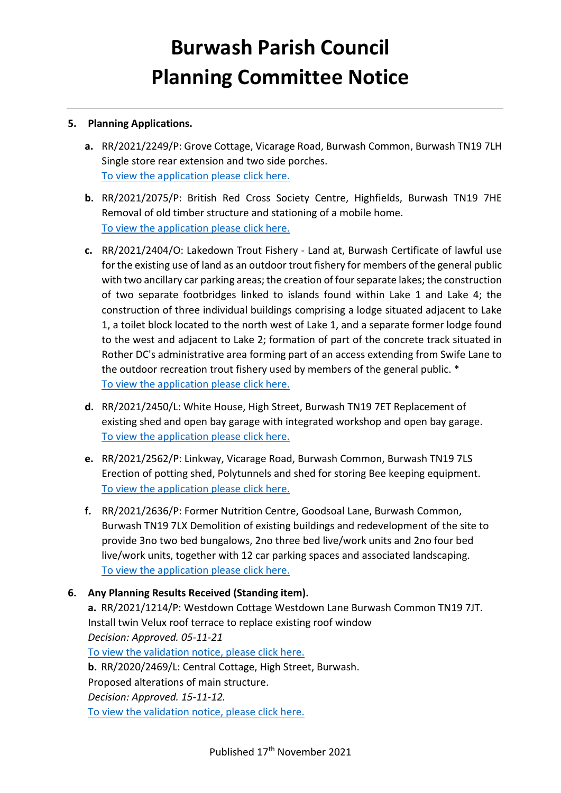# **Burwash Parish Council Planning Committee Notice**

### **5. Planning Applications.**

- **a.** RR/2021/2249/P: Grove Cottage, Vicarage Road, Burwash Common, Burwash TN19 7LH Single store rear extension and two side porches. [To view the application please click here.](http://planweb01.rother.gov.uk/OcellaWeb/planningDetails?reference=RR/2021/2249/P)
- **b.** RR/2021/2075/P: British Red Cross Society Centre, Highfields, Burwash TN19 7HE Removal of old timber structure and stationing of a mobile home. [To view the application please click here.](http://planweb01.rother.gov.uk/OcellaWeb/planningDetails?reference=RR/2021/2075/P)
- **c.** RR/2021/2404/O: Lakedown Trout Fishery Land at, Burwash Certificate of lawful use for the existing use of land as an outdoor trout fishery for members of the general public with two ancillary car parking areas; the creation of four separate lakes; the construction of two separate footbridges linked to islands found within Lake 1 and Lake 4; the construction of three individual buildings comprising a lodge situated adjacent to Lake 1, a toilet block located to the north west of Lake 1, and a separate former lodge found to the west and adjacent to Lake 2; formation of part of the concrete track situated in Rother DC's administrative area forming part of an access extending from Swife Lane to the outdoor recreation trout fishery used by members of the general public. \* [To view the application please click here.](http://planweb01.rother.gov.uk/OcellaWeb/planningDetails?reference=RR/2021/2404/O)
- **d.** RR/2021/2450/L: White House, High Street, Burwash TN19 7ET Replacement of existing shed and open bay garage with integrated workshop and open bay garage. [To view the application please click here.](http://planweb01.rother.gov.uk/OcellaWeb/planningDetails?reference=RR/2021/2450/L)
- **e.** RR/2021/2562/P: Linkway, Vicarage Road, Burwash Common, Burwash TN19 7LS Erection of potting shed, Polytunnels and shed for storing Bee keeping equipment. [To view the application please click here.](http://planweb01.rother.gov.uk/OcellaWeb/planningDetails?reference=RR/2021/2562/P)
- **f.** RR/2021/2636/P: Former Nutrition Centre, Goodsoal Lane, Burwash Common, Burwash TN19 7LX Demolition of existing buildings and redevelopment of the site to provide 3no two bed bungalows, 2no three bed live/work units and 2no four bed live/work units, together with 12 car parking spaces and associated landscaping. [To view the application please click here.](http://planweb01.rother.gov.uk/OcellaWeb/planningDetails?reference=RR/2021/2636/P)

# **6. Any Planning Results Received (Standing item).**

**a.** RR/2021/1214/P: Westdown Cottage Westdown Lane Burwash Common TN19 7JT. Install twin Velux roof terrace to replace existing roof window *Decision: Approved. 05-11-21* To view the validation notice, please click here. **b.** RR/2020/2469/L: Central Cottage, High Street, Burwash. Proposed alterations of main structure. *Decision: Approved. 15-11-12.* To view the validation notice, please click here.